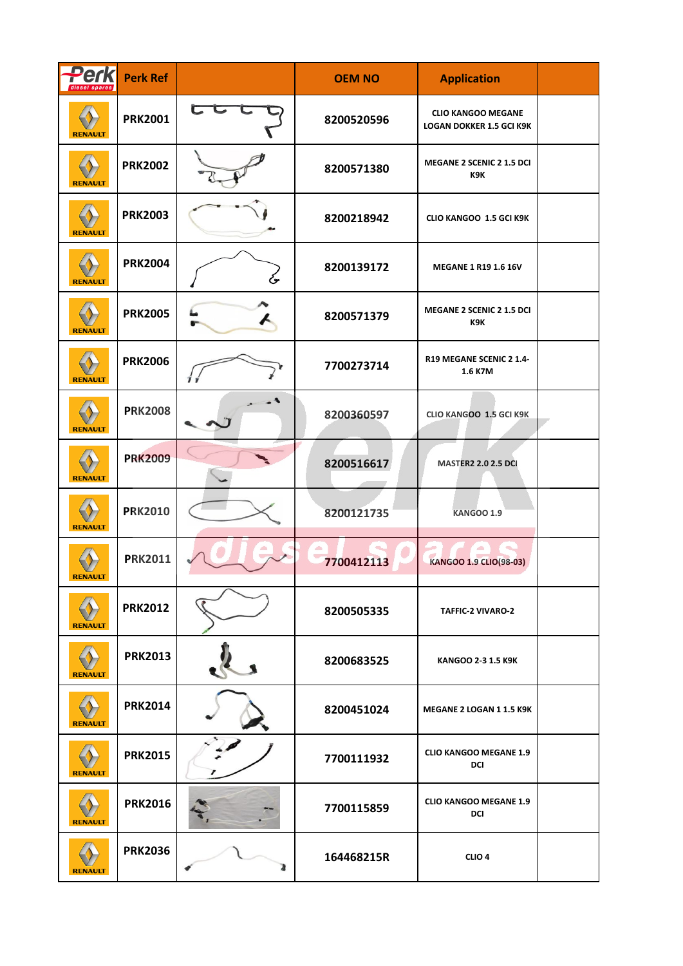| <b>Perk</b><br>diesel spares | <b>Perk Ref</b> |                         | <b>OEM NO</b> | <b>Application</b>                                           |  |
|------------------------------|-----------------|-------------------------|---------------|--------------------------------------------------------------|--|
| <b>RENAULT</b>               | <b>PRK2001</b>  | $\overline{\mathbf{C}}$ | 8200520596    | <b>CLIO KANGOO MEGANE</b><br><b>LOGAN DOKKER 1.5 GCI K9K</b> |  |
| <b>RENAULT</b>               | <b>PRK2002</b>  |                         | 8200571380    | <b>MEGANE 2 SCENIC 2 1.5 DCI</b><br>K9K                      |  |
| <b>RENAULT</b>               | <b>PRK2003</b>  |                         | 8200218942    | CLIO KANGOO 1.5 GCI K9K                                      |  |
| <b>RENAULT</b>               | <b>PRK2004</b>  | ىخ                      | 8200139172    | MEGANE 1 R19 1.6 16V                                         |  |
| <b>RENAULT</b>               | <b>PRK2005</b>  |                         | 8200571379    | MEGANE 2 SCENIC 2 1.5 DCI<br>K9K                             |  |
| <b>RENAULT</b>               | <b>PRK2006</b>  | $\boldsymbol{\eta}$ :   | 7700273714    | R19 MEGANE SCENIC 2 1.4-<br>1.6 K7M                          |  |
| <b>RENAULT</b>               | <b>PRK2008</b>  |                         | 8200360597    | CLIO KANGOO 1.5 GCI K9K                                      |  |
| <b>RENAULT</b>               | <b>PRK2009</b>  |                         | 8200516617    | <b>MASTER2 2.0 2.5 DCI</b>                                   |  |
| <b>RENAULT</b>               | <b>PRK2010</b>  |                         | 8200121735    | <b>KANGOO 1.9</b>                                            |  |
| <b>KENAULI</b>               | <b>PRK2011</b>  |                         | 7700412113    | KANGOO 1.9 CLIO(98-03)                                       |  |
| <b>RENAULT</b>               | <b>PRK2012</b>  |                         | 8200505335    | TAFFIC-2 VIVARO-2                                            |  |
| <b>RENAULT</b>               | <b>PRK2013</b>  |                         | 8200683525    | KANGOO 2-3 1.5 K9K                                           |  |
| <b>RENAULT</b>               | <b>PRK2014</b>  |                         | 8200451024    | MEGANE 2 LOGAN 1 1.5 K9K                                     |  |
| <b>RENAULT</b>               | <b>PRK2015</b>  |                         | 7700111932    | <b>CLIO KANGOO MEGANE 1.9</b><br><b>DCI</b>                  |  |
| <b>RENAULT</b>               | <b>PRK2016</b>  |                         | 7700115859    | <b>CLIO KANGOO MEGANE 1.9</b><br><b>DCI</b>                  |  |
| <b>RENAULT</b>               | <b>PRK2036</b>  |                         | 164468215R    | CLIO <sub>4</sub>                                            |  |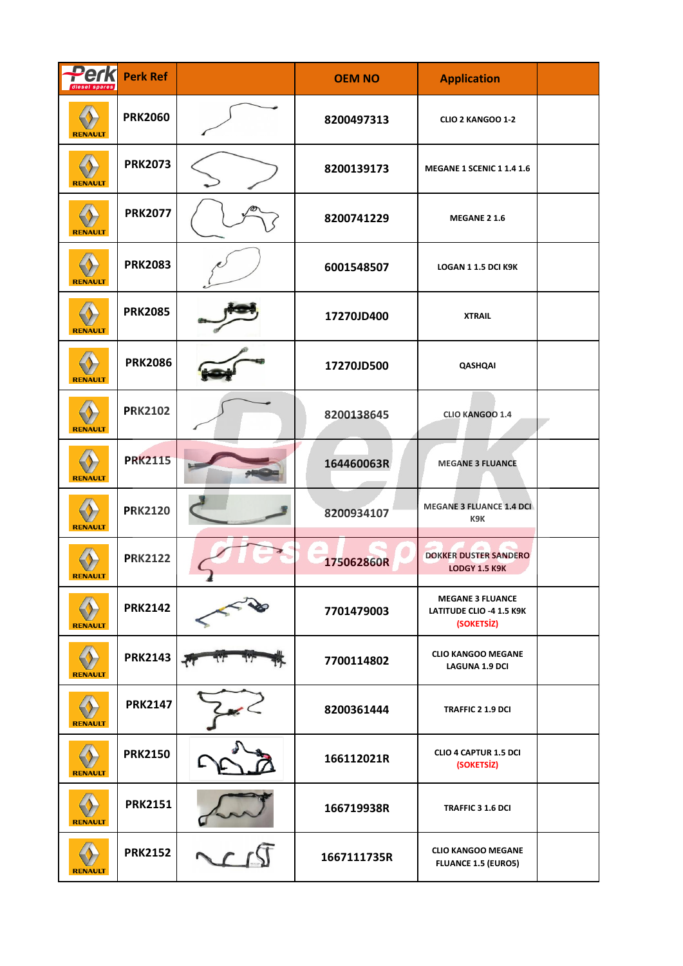| Perk           | <b>Perk Ref</b> |                          | <b>OEM NO</b> | <b>Application</b>                                                |  |
|----------------|-----------------|--------------------------|---------------|-------------------------------------------------------------------|--|
| <b>RENAULT</b> | <b>PRK2060</b>  |                          | 8200497313    | CLIO 2 KANGOO 1-2                                                 |  |
| <b>RENAULT</b> | <b>PRK2073</b>  |                          | 8200139173    | <b>MEGANE 1 SCENIC 1 1.4 1.6</b>                                  |  |
| <b>RENAULT</b> | <b>PRK2077</b>  |                          | 8200741229    | MEGANE 2 1.6                                                      |  |
| <b>RENAULT</b> | <b>PRK2083</b>  |                          | 6001548507    | LOGAN 1 1.5 DCI K9K                                               |  |
| <b>RENAULT</b> | <b>PRK2085</b>  |                          | 17270JD400    | <b>XTRAIL</b>                                                     |  |
| <b>RENAULT</b> | <b>PRK2086</b>  |                          | 17270JD500    | QASHQAI                                                           |  |
| <b>RENAULT</b> | <b>PRK2102</b>  |                          | 8200138645    | CLIO KANGOO 1.4                                                   |  |
| <b>RENAULT</b> | <b>PRK2115</b>  |                          | 164460063R    | <b>MEGANE 3 FLUANCE</b>                                           |  |
| <b>RENAULT</b> | <b>PRK2120</b>  |                          | 8200934107    | <b>MEGANE 3 FLUANCE 1.4 DCI</b><br>K9K                            |  |
|                | <b>PRK2122</b>  |                          | 175062860R    | <b>DOKKER DUSTER SANDERO</b><br><b>LODGY 1.5 K9K</b>              |  |
| <b>RENAULT</b> | <b>PRK2142</b>  |                          | 7701479003    | <b>MEGANE 3 FLUANCE</b><br>LATITUDE CLIO -4 1.5 K9K<br>(SOKETSİZ) |  |
| <b>RENAULT</b> | <b>PRK2143</b>  | $\overline{\mathcal{L}}$ | 7700114802    | <b>CLIO KANGOO MEGANE</b><br><b>LAGUNA 1.9 DCI</b>                |  |
| <b>RENAULT</b> | <b>PRK2147</b>  |                          | 8200361444    | TRAFFIC 2 1.9 DCI                                                 |  |
| <b>RENAULT</b> | <b>PRK2150</b>  |                          | 166112021R    | <b>CLIO 4 CAPTUR 1.5 DCI</b><br>(SOKETSİZ)                        |  |
| <b>RENAULT</b> | <b>PRK2151</b>  |                          | 166719938R    | TRAFFIC 3 1.6 DCI                                                 |  |
| <b>RENAULT</b> | <b>PRK2152</b>  |                          | 1667111735R   | <b>CLIO KANGOO MEGANE</b><br><b>FLUANCE 1.5 (EURO5)</b>           |  |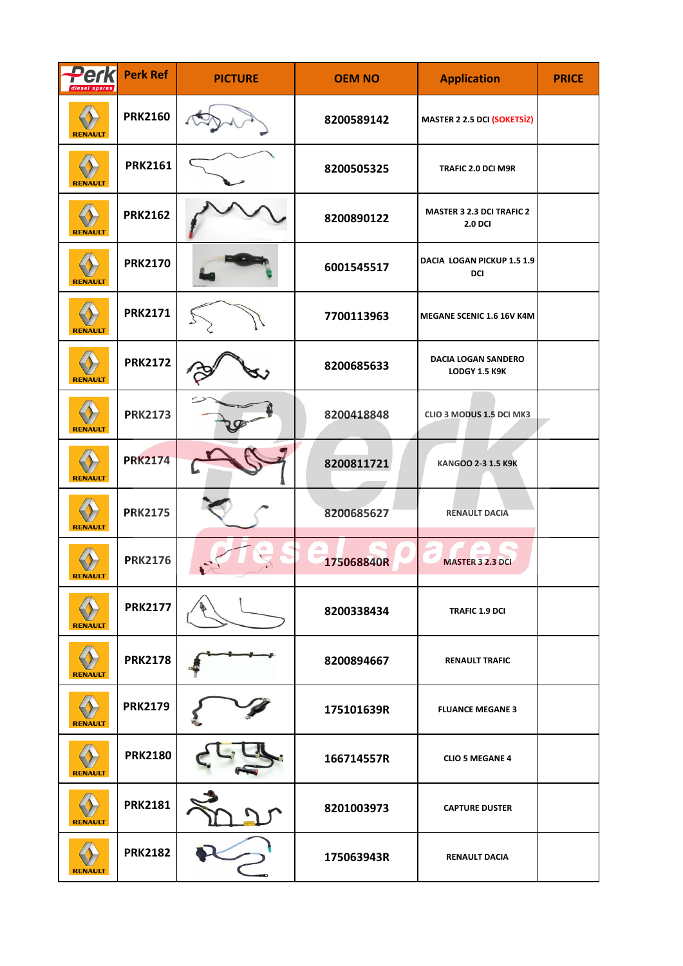| Perk<br>diesel spares | <b>Perk Ref</b> | <b>PICTURE</b> | <b>OEM NO</b> | <b>Application</b>                                 | <b>PRICE</b> |
|-----------------------|-----------------|----------------|---------------|----------------------------------------------------|--------------|
| <b>RENAULT</b>        | <b>PRK2160</b>  |                | 8200589142    | <b>MASTER 2 2.5 DCI (SOKETSİZ)</b>                 |              |
| <b>RENAULT</b>        | <b>PRK2161</b>  |                | 8200505325    | TRAFIC 2.0 DCI M9R                                 |              |
| <b>RENAULT</b>        | <b>PRK2162</b>  |                | 8200890122    | <b>MASTER 3 2.3 DCI TRAFIC 2</b><br><b>2.0 DCI</b> |              |
| <b>RENAULT</b>        | <b>PRK2170</b>  |                | 6001545517    | DACIA LOGAN PICKUP 1.5 1.9<br>DCI                  |              |
| <b>RENAULT</b>        | <b>PRK2171</b>  |                | 7700113963    | MEGANE SCENIC 1.6 16V K4M                          |              |
| <b>RENAULT</b>        | <b>PRK2172</b>  |                | 8200685633    | <b>DACIA LOGAN SANDERO</b><br><b>LODGY 1.5 K9K</b> |              |
| <b>RENAULT</b>        | <b>PRK2173</b>  |                | 8200418848    | CLIO 3 MODUS 1.5 DCI MK3                           |              |
| <b>RENAULT</b>        | <b>PRK2174</b>  |                | 8200811721    | KANGOO 2-3 1.5 K9K                                 |              |
| <b>RENAULT</b>        | <b>PRK2175</b>  |                | 8200685627    | <b>RENAULT DACIA</b>                               |              |
| <b>REIVAULI</b>       | <b>PRK2176</b>  |                | 175068840R    | <b>MASTER 3 2.3 DCI</b>                            |              |
| <b>RENAULT</b>        | <b>PRK2177</b>  |                | 8200338434    | <b>TRAFIC 1.9 DCI</b>                              |              |
| <b>RENAULT</b>        | <b>PRK2178</b>  |                | 8200894667    | <b>RENAULT TRAFIC</b>                              |              |
| <b>RENAULT</b>        | <b>PRK2179</b>  |                | 175101639R    | <b>FLUANCE MEGANE 3</b>                            |              |
| <b>RENAULT</b>        | <b>PRK2180</b>  |                | 166714557R    | <b>CLIO 5 MEGANE 4</b>                             |              |
| <b>RENAULT</b>        | <b>PRK2181</b>  |                | 8201003973    | <b>CAPTURE DUSTER</b>                              |              |
| <b>RENAULT</b>        | <b>PRK2182</b>  |                | 175063943R    | <b>RENAULT DACIA</b>                               |              |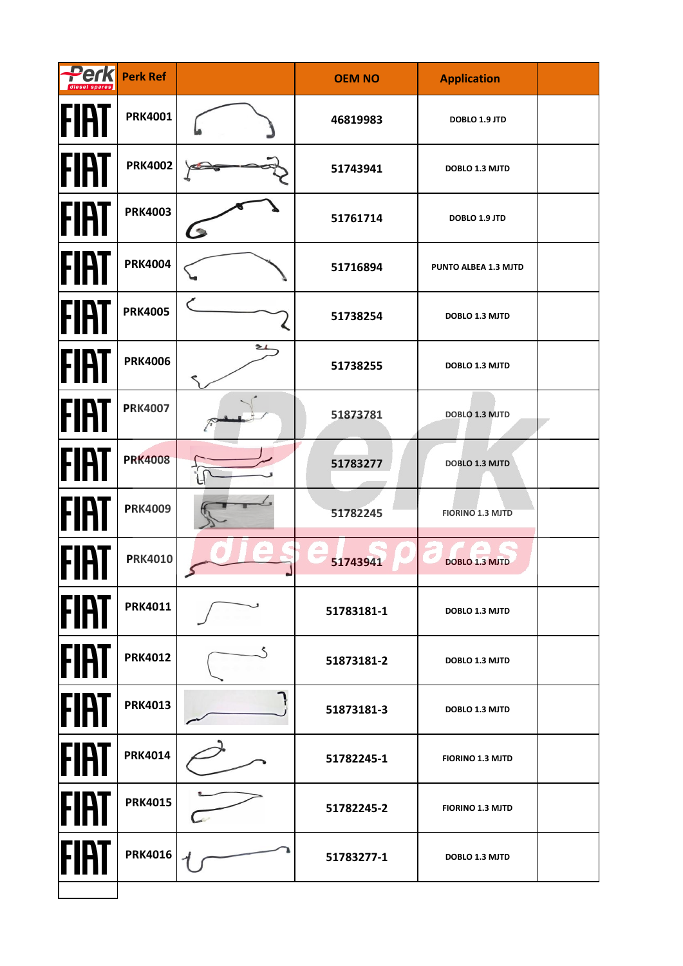| <b>Perk</b> | <b>Perk Ref</b> |          | <b>OEM NO</b> | <b>Application</b>      |  |
|-------------|-----------------|----------|---------------|-------------------------|--|
| FIAT        | <b>PRK4001</b>  |          | 46819983      | DOBLO 1.9 JTD           |  |
| <b>FIAT</b> | <b>PRK4002</b>  |          | 51743941      | DOBLO 1.3 MJTD          |  |
| FIAT        | <b>PRK4003</b>  | <b>C</b> | 51761714      | DOBLO 1.9 JTD           |  |
| FIRT        | <b>PRK4004</b>  |          | 51716894      | PUNTO ALBEA 1.3 MJTD    |  |
| <b>FIAT</b> | <b>PRK4005</b>  |          | 51738254      | DOBLO 1.3 MJTD          |  |
| <b>FIAT</b> | <b>PRK4006</b>  | 21       | 51738255      | DOBLO 1.3 MJTD          |  |
| FIAT        | <b>PRK4007</b>  |          | 51873781      | DOBLO 1.3 MJTD          |  |
| FIAT        | <b>PRK4008</b>  |          | 51783277      | DOBLO 1.3 MJTD          |  |
| <b>FIAT</b> | <b>PRK4009</b>  |          | 51782245      | <b>FIORINO 1.3 MJTD</b> |  |
|             | <b>PRK4010</b>  | z.       | 51743941      | <b>DOBLO 1.3 MJTD</b>   |  |
| <b>FIAT</b> | <b>PRK4011</b>  |          | 51783181-1    | <b>DOBLO 1.3 MJTD</b>   |  |
| <b>FIRT</b> | <b>PRK4012</b>  |          | 51873181-2    | DOBLO 1.3 MJTD          |  |
| <b>FIAT</b> | <b>PRK4013</b>  |          | 51873181-3    | <b>DOBLO 1.3 MJTD</b>   |  |
| FIAT        | <b>PRK4014</b>  |          | 51782245-1    | <b>FIORINO 1.3 MJTD</b> |  |
| FIAT        | <b>PRK4015</b>  |          | 51782245-2    | <b>FIORINO 1.3 MJTD</b> |  |
| FIAT        | <b>PRK4016</b>  |          | 51783277-1    | DOBLO 1.3 MJTD          |  |
|             |                 |          |               |                         |  |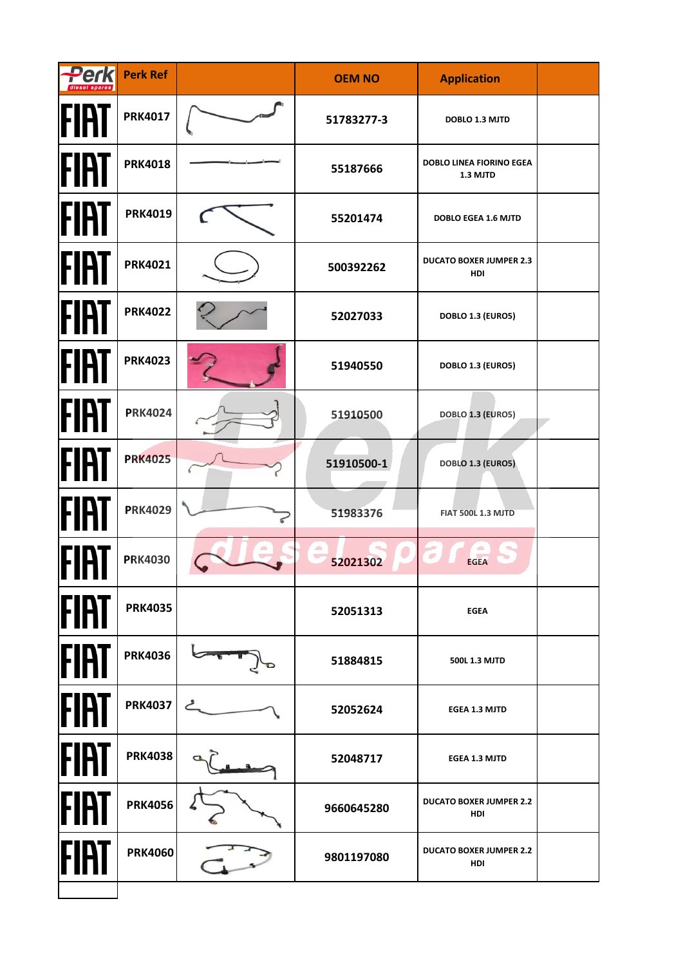| Perk        | <b>Perk Ref</b> | <b>OEM NO</b> | <b>Application</b>                    |  |
|-------------|-----------------|---------------|---------------------------------------|--|
| FIAT        | <b>PRK4017</b>  | 51783277-3    | DOBLO 1.3 MJTD                        |  |
| FIAT        | <b>PRK4018</b>  | 55187666      | DOBLO LINEA FIORINO EGEA<br>1.3 MJTD  |  |
| FIAT        | <b>PRK4019</b>  | 55201474      | <b>DOBLO EGEA 1.6 MJTD</b>            |  |
| FIRT        | <b>PRK4021</b>  | 500392262     | <b>DUCATO BOXER JUMPER 2.3</b><br>HDI |  |
| FIAT        | <b>PRK4022</b>  | 52027033      | DOBLO 1.3 (EURO5)                     |  |
| FIAT        | <b>PRK4023</b>  | 51940550      | DOBLO 1.3 (EURO5)                     |  |
| FIAT        | <b>PRK4024</b>  | 51910500      | DOBLO 1.3 (EURO5)                     |  |
| FIAT        | <b>PRK4025</b>  | 51910500-1    | DOBLO 1.3 (EURO5)                     |  |
| FIAT        | <b>PRK4029</b>  | 51983376      | <b>FIAT 500L 1.3 MJTD</b>             |  |
|             | <b>PRK4030</b>  | 52021302      | <b>EGEA</b>                           |  |
| <b>FIAT</b> | <b>PRK4035</b>  | 52051313      | <b>EGEA</b>                           |  |
| FIAT        | <b>PRK4036</b>  | 51884815      | 500L 1.3 MJTD                         |  |
| FIAT        | <b>PRK4037</b>  | 52052624      | <b>EGEA 1.3 MJTD</b>                  |  |
| FIAT        | <b>PRK4038</b>  | 52048717      | <b>EGEA 1.3 MJTD</b>                  |  |
| FIAT        | <b>PRK4056</b>  | 9660645280    | <b>DUCATO BOXER JUMPER 2.2</b><br>HDI |  |
| FIA         | <b>PRK4060</b>  | 9801197080    | <b>DUCATO BOXER JUMPER 2.2</b><br>HDI |  |
|             |                 |               |                                       |  |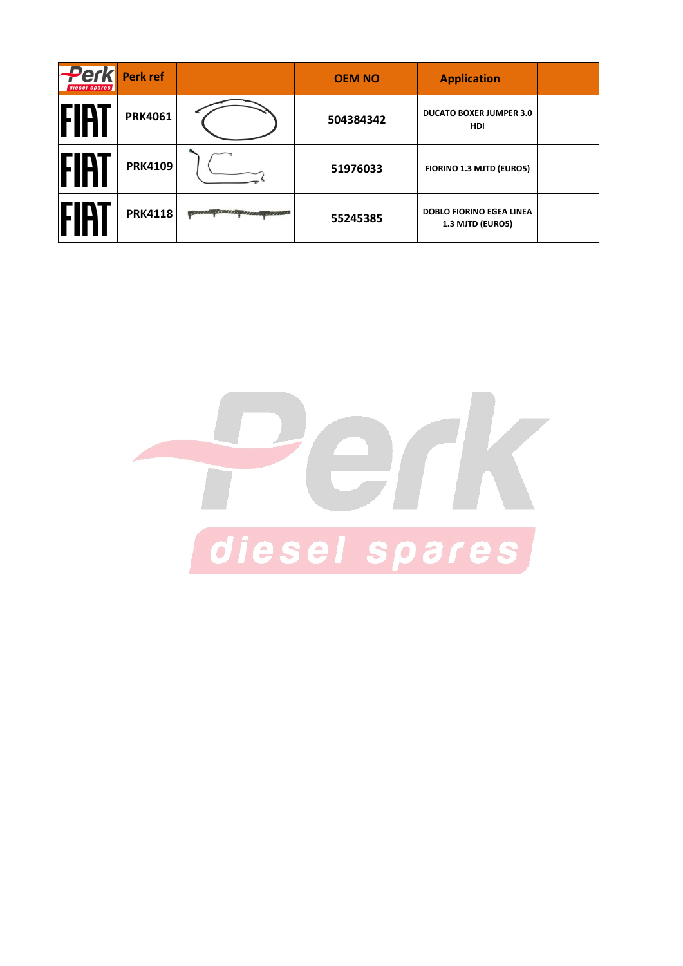| <b>Perk</b><br>diesel spares | Perk ref       |                                             | <b>OEM NO</b> | <b>Application</b>                                  |  |
|------------------------------|----------------|---------------------------------------------|---------------|-----------------------------------------------------|--|
| IHAI                         | <b>PRK4061</b> |                                             | 504384342     | <b>DUCATO BOXER JUMPER 3.0</b><br><b>HDI</b>        |  |
| IHH                          | <b>PRK4109</b> |                                             | 51976033      | FIORINO 1.3 MJTD (EURO5)                            |  |
|                              | <b>PRK4118</b> | <b>ANG PARTITION NAMES AND DESCRIPTIONS</b> | 55245385      | <b>DOBLO FIORINO EGEA LINEA</b><br>1.3 MJTD (EURO5) |  |

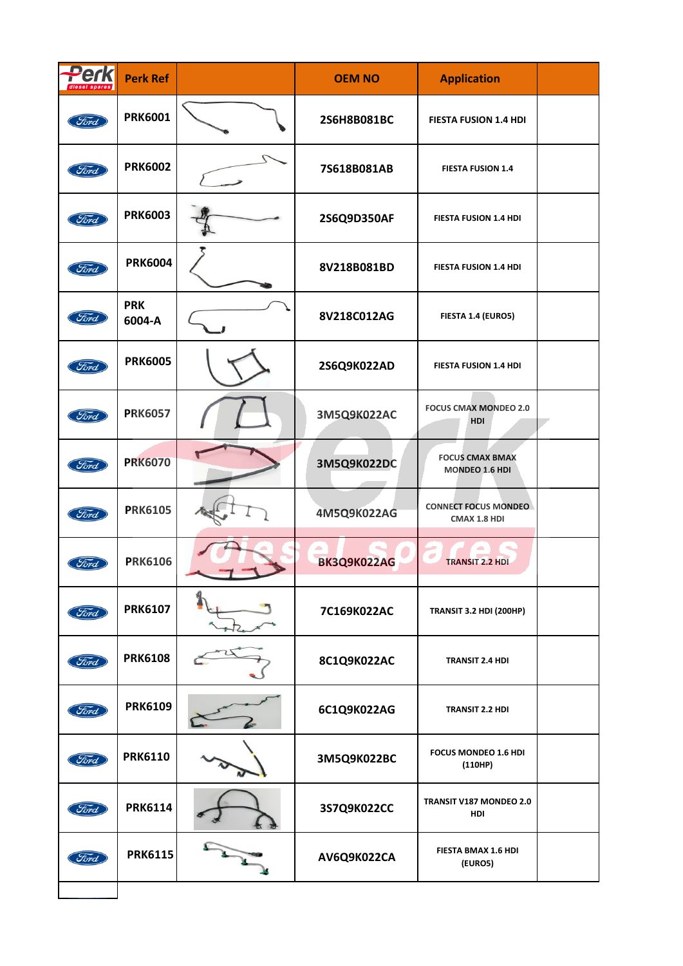| Perl<br>diesel spare | <b>Perk Ref</b>      | <b>OEM NO</b> | <b>Application</b>                          |  |
|----------------------|----------------------|---------------|---------------------------------------------|--|
| Ford                 | <b>PRK6001</b>       | 2S6H8B081BC   | <b>FIESTA FUSION 1.4 HDI</b>                |  |
| Ford                 | <b>PRK6002</b>       | 7S618B081AB   | <b>FIESTA FUSION 1.4</b>                    |  |
| Ford                 | <b>PRK6003</b>       | 2S6Q9D350AF   | FIESTA FUSION 1.4 HDI                       |  |
| Ford                 | <b>PRK6004</b>       | 8V218B081BD   | FIESTA FUSION 1.4 HDI                       |  |
| Ford                 | <b>PRK</b><br>6004-A | 8V218C012AG   | FIESTA 1.4 (EURO5)                          |  |
| Ford                 | <b>PRK6005</b>       | 2S6Q9K022AD   | FIESTA FUSION 1.4 HDI                       |  |
| Ford                 | <b>PRK6057</b>       | 3M5Q9K022AC   | <b>FOCUS CMAX MONDEO 2.0</b><br>HDI         |  |
| Ford                 | <b>PRK6070</b>       | 3M5Q9K022DC   | <b>FOCUS CMAX BMAX</b><br>MONDEO 1.6 HDI    |  |
| Ford                 | <b>PRK6105</b>       | 4M5Q9K022AG   | <b>CONNECT FOCUS MONDEO</b><br>CMAX 1.8 HDI |  |
| Ford                 | <b>PRK6106</b>       | BK3Q9K022AG   | <b>TRANSIT 2.2 HDI</b>                      |  |
| Ford                 | <b>PRK6107</b>       | 7C169K022AC   | <b>TRANSIT 3.2 HDI (200HP)</b>              |  |
| Ford                 | <b>PRK6108</b>       | 8C1Q9K022AC   | <b>TRANSIT 2.4 HDI</b>                      |  |
| Ford                 | <b>PRK6109</b>       | 6C1Q9K022AG   | <b>TRANSIT 2.2 HDI</b>                      |  |
| Ford                 | <b>PRK6110</b>       | 3M5Q9K022BC   | FOCUS MONDEO 1.6 HDI<br>(110HP)             |  |
| Ford                 | <b>PRK6114</b>       | 3S7Q9K022CC   | TRANSIT V187 MONDEO 2.0<br>HDI              |  |
| Ford                 | <b>PRK6115</b>       | AV6Q9K022CA   | FIESTA BMAX 1.6 HDI<br>(EURO5)              |  |
|                      |                      |               |                                             |  |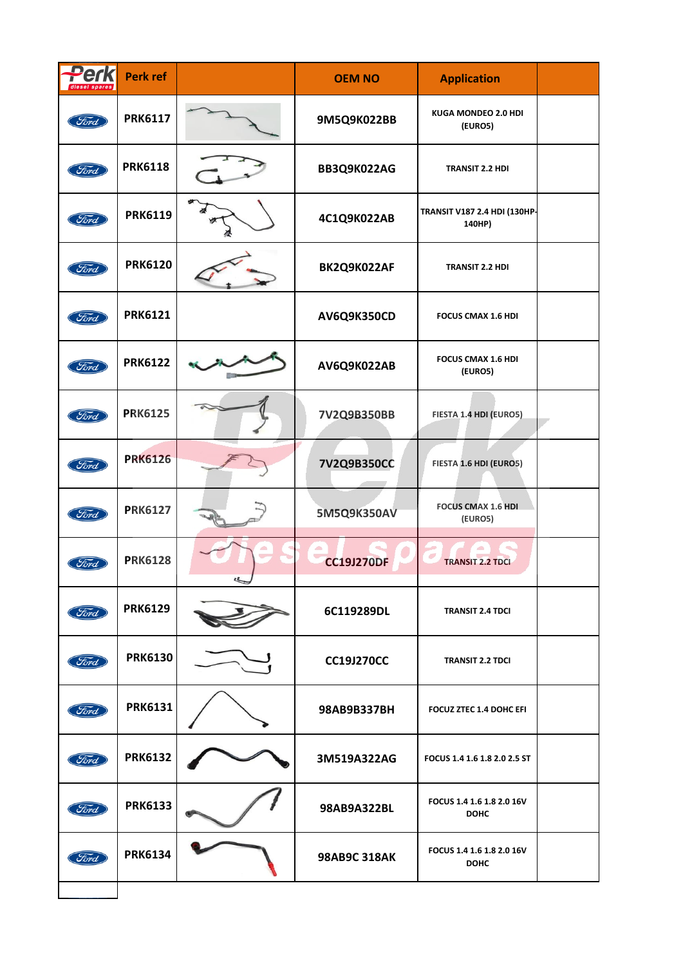| Perk<br>diesel spares | Perk ref       |   | <b>OEM NO</b>     | <b>Application</b>                            |  |
|-----------------------|----------------|---|-------------------|-----------------------------------------------|--|
| Ford                  | <b>PRK6117</b> |   | 9M5Q9K022BB       | KUGA MONDEO 2.0 HDI<br>(EURO5)                |  |
| Ford                  | <b>PRK6118</b> |   | BB3Q9K022AG       | TRANSIT 2.2 HDI                               |  |
| Ford                  | <b>PRK6119</b> |   | 4C1Q9K022AB       | <b>TRANSIT V187 2.4 HDI (130HP-</b><br>140HP) |  |
| Ford                  | <b>PRK6120</b> |   | BK2Q9K022AF       | <b>TRANSIT 2.2 HDI</b>                        |  |
| Ford                  | <b>PRK6121</b> |   | AV6Q9K350CD       | <b>FOCUS CMAX 1.6 HDI</b>                     |  |
| Ford                  | <b>PRK6122</b> |   | AV6Q9K022AB       | <b>FOCUS CMAX 1.6 HDI</b><br>(EURO5)          |  |
| Ford                  | <b>PRK6125</b> |   | 7V2Q9B350BB       | FIESTA 1.4 HDI (EURO5)                        |  |
| Ford                  | <b>PRK6126</b> |   | 7V2Q9B350CC       | FIESTA 1.6 HDI (EURO5)                        |  |
| Ford                  | <b>PRK6127</b> |   | 5M5Q9K350AV       | <b>FOCUS CMAX 1.6 HDI</b><br>(EURO5)          |  |
| Ford                  | <b>PRK6128</b> | Ł | <b>CC19J270DF</b> | <b>TRANSIT 2.2 TDCI</b>                       |  |
| Ford                  | <b>PRK6129</b> |   | 6C119289DL        | <b>TRANSIT 2.4 TDCI</b>                       |  |
| Ford                  | <b>PRK6130</b> |   | <b>CC19J270CC</b> | <b>TRANSIT 2.2 TDCI</b>                       |  |
| Ford                  | <b>PRK6131</b> |   | 98AB9B337BH       | <b>FOCUZ ZTEC 1.4 DOHC EFI</b>                |  |
| Ford                  | <b>PRK6132</b> |   | 3M519A322AG       | FOCUS 1.4 1.6 1.8 2.0 2.5 ST                  |  |
| Ford                  | <b>PRK6133</b> |   | 98AB9A322BL       | FOCUS 1.4 1.6 1.8 2.0 16V<br><b>DOHC</b>      |  |
| Ford                  | <b>PRK6134</b> |   | 98AB9C 318AK      | FOCUS 1.4 1.6 1.8 2.0 16V<br><b>DOHC</b>      |  |
|                       |                |   |                   |                                               |  |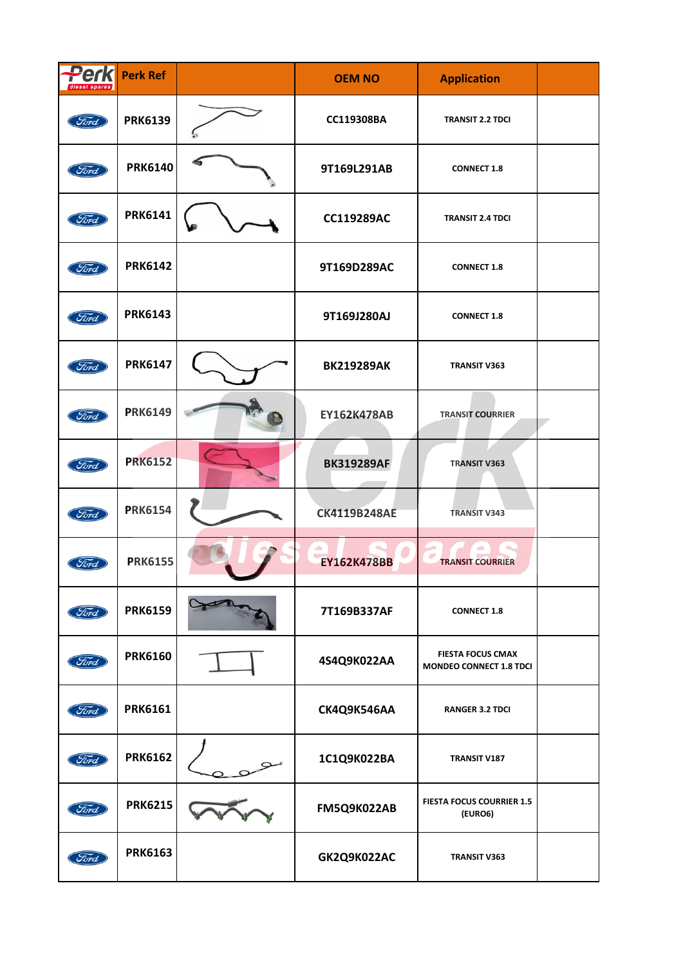| Perk<br>diesel spares | <b>Perk Ref</b> | <b>OEM NO</b>       | <b>Application</b>                                  |  |
|-----------------------|-----------------|---------------------|-----------------------------------------------------|--|
| Ford                  | <b>PRK6139</b>  | CC119308BA          | <b>TRANSIT 2.2 TDCI</b>                             |  |
| Ford                  | <b>PRK6140</b>  | 9T169L291AB         | <b>CONNECT 1.8</b>                                  |  |
| Ford                  | <b>PRK6141</b>  | <b>CC119289AC</b>   | <b>TRANSIT 2.4 TDCI</b>                             |  |
| Ford                  | <b>PRK6142</b>  | 9T169D289AC         | <b>CONNECT 1.8</b>                                  |  |
| Ford                  | <b>PRK6143</b>  | 9T169J280AJ         | <b>CONNECT 1.8</b>                                  |  |
| Ford                  | <b>PRK6147</b>  | <b>BK219289AK</b>   | <b>TRANSIT V363</b>                                 |  |
| Ford                  | <b>PRK6149</b>  | <b>EY162K478AB</b>  | <b>TRANSIT COURRIER</b>                             |  |
| Ford                  | <b>PRK6152</b>  | <b>BK319289AF</b>   | <b>TRANSIT V363</b>                                 |  |
| Ford                  | <b>PRK6154</b>  | <b>CK4119B248AE</b> | <b>TRANSIT V343</b>                                 |  |
| Ford                  | <b>PRK6155</b>  | <b>EY162K478BB</b>  | <b>TRANSIT COURRIER</b>                             |  |
| Ford                  | <b>PRK6159</b>  | 7T169B337AF         | <b>CONNECT 1.8</b>                                  |  |
| Ford                  | <b>PRK6160</b>  | 4S4Q9K022AA         | <b>FIESTA FOCUS CMAX</b><br>MONDEO CONNECT 1.8 TDCI |  |
| Ford                  | <b>PRK6161</b>  | CK4Q9K546AA         | <b>RANGER 3.2 TDCI</b>                              |  |
| Ford                  | <b>PRK6162</b>  | 1C1Q9K022BA         | TRANSIT V187                                        |  |
| Ford                  | <b>PRK6215</b>  | FM5Q9K022AB         | <b>FIESTA FOCUS COURRIER 1.5</b><br>(EURO6)         |  |
| Ford                  | <b>PRK6163</b>  | GK2Q9K022AC         | <b>TRANSIT V363</b>                                 |  |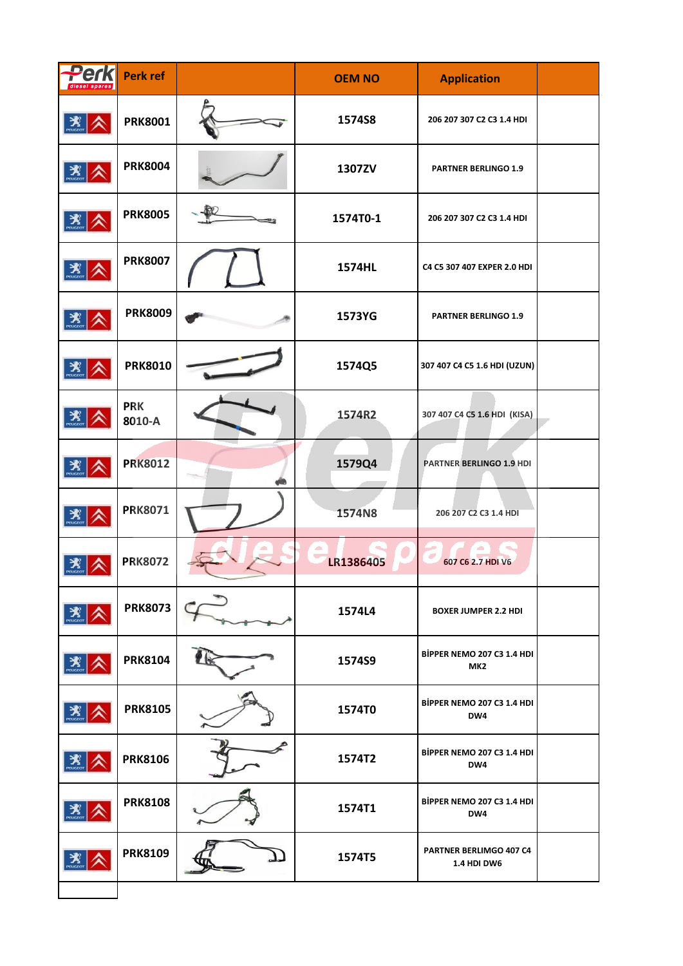| Perk                    | <b>Perk ref</b>      | <b>OEM NO</b> | <b>Application</b>                                   |  |
|-------------------------|----------------------|---------------|------------------------------------------------------|--|
|                         | <b>PRK8001</b>       | 1574S8        | 206 207 307 C2 C3 1.4 HDI                            |  |
| $\mathbf{X}$            | <b>PRK8004</b>       | 1307ZV        | <b>PARTNER BERLINGO 1.9</b>                          |  |
| $\mathbf{X}$            | <b>PRK8005</b>       | 1574T0-1      | 206 207 307 C2 C3 1.4 HDI                            |  |
| $\mathbf{X}$            | <b>PRK8007</b>       | 1574HL        | C4 C5 307 407 EXPER 2.0 HDI                          |  |
| $\mathbf{X}$            | <b>PRK8009</b>       | 1573YG        | <b>PARTNER BERLINGO 1.9</b>                          |  |
| $\mathbf{X}$            | <b>PRK8010</b>       | 1574Q5        | 307 407 C4 C5 1.6 HDI (UZUN)                         |  |
| $\mathbf{X}$            | <b>PRK</b><br>8010-A | 1574R2        | 307 407 C4 C5 1.6 HDI (KISA)                         |  |
| $\mathbf{X}$            | <b>PRK8012</b>       | 1579Q4        | PARTNER BERLINGO 1.9 HDI                             |  |
| $\sum_{n=\text{uccon}}$ | <b>PRK8071</b>       | 1574N8        | 206 207 C2 C3 1.4 HDI                                |  |
| $\mathbf{X}$            | <b>PRK8072</b>       | LR1386405     | 607 C6 2.7 HDI V6                                    |  |
| $\mathbf{X}$            | <b>PRK8073</b>       | 1574L4        | <b>BOXER JUMPER 2.2 HDI</b>                          |  |
|                         | <b>PRK8104</b>       | 1574S9        | <b>BİPPER NEMO 207 C3 1.4 HDI</b><br>MK <sub>2</sub> |  |
| 类                       | <b>PRK8105</b>       | 1574T0        | <b>BİPPER NEMO 207 C3 1.4 HDI</b><br>DW4             |  |
|                         | <b>PRK8106</b>       | 1574T2        | <b>BİPPER NEMO 207 C3 1.4 HDI</b><br>DW4             |  |
| $\mathbf{X}$            | <b>PRK8108</b>       | 1574T1        | <b>BİPPER NEMO 207 C3 1.4 HDI</b><br>DW4             |  |
| $\mathbf{X}$            | <b>PRK8109</b>       | 1574T5        | PARTNER BERLIMGO 407 C4<br><b>1.4 HDI DW6</b>        |  |
|                         |                      |               |                                                      |  |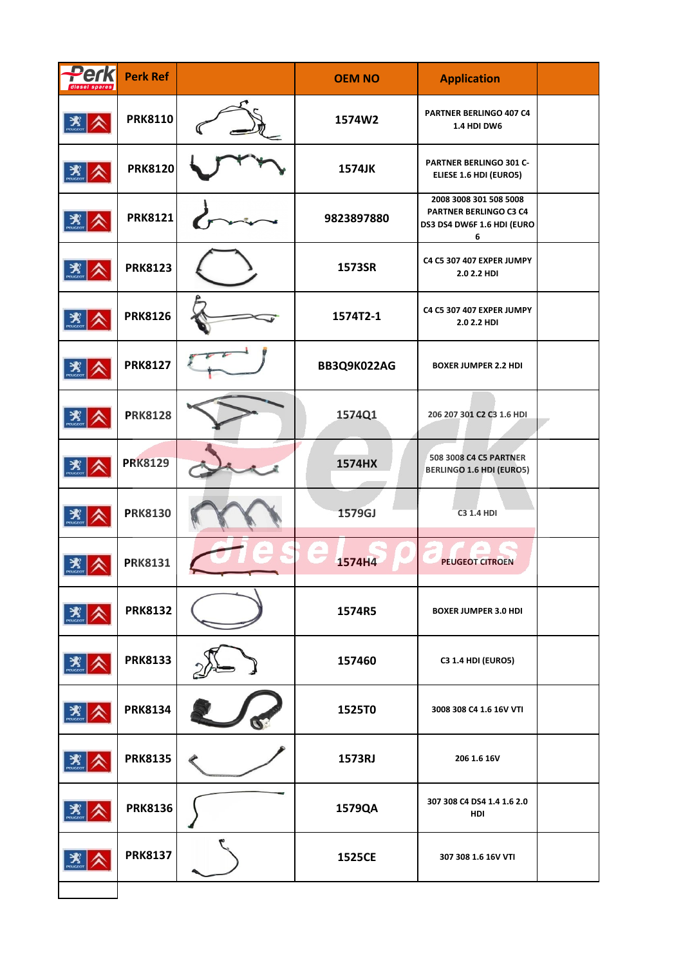| Perk                               | <b>Perk Ref</b> | <b>OEM NO</b> | <b>Application</b>                                                                  |  |
|------------------------------------|-----------------|---------------|-------------------------------------------------------------------------------------|--|
| $\mathbf{X}$                       | <b>PRK8110</b>  | 1574W2        | PARTNER BERLINGO 407 C4<br><b>1.4 HDI DW6</b>                                       |  |
| $\mathbf{X}$                       | <b>PRK8120</b>  | 1574JK        | PARTNER BERLINGO 301 C-<br>ELIESE 1.6 HDI (EURO5)                                   |  |
| $\mathbf{X}$                       | <b>PRK8121</b>  | 9823897880    | 2008 3008 301 508 5008<br>PARTNER BERLINGO C3 C4<br>DS3 DS4 DW6F 1.6 HDI (EURO<br>6 |  |
| $\mathbf{X}$                       | <b>PRK8123</b>  | 1573SR        | C4 C5 307 407 EXPER JUMPY<br>2.0 2.2 HDI                                            |  |
| $\mathbf{X}$                       | <b>PRK8126</b>  | 1574T2-1      | C4 C5 307 407 EXPER JUMPY<br>2.0 2.2 HDI                                            |  |
| $\mathbf{X}$                       | <b>PRK8127</b>  | BB3Q9K022AG   | <b>BOXER JUMPER 2.2 HDI</b>                                                         |  |
| $\mathbf{X}$                       | <b>PRK8128</b>  | 1574Q1        | 206 207 301 C2 C3 1.6 HDI                                                           |  |
| $\mathbf{X}$                       | <b>PRK8129</b>  | 1574HX        | 508 3008 C4 C5 PARTNER<br><b>BERLINGO 1.6 HDI (EURO5)</b>                           |  |
| $\mathbf{X}$                       | <b>PRK8130</b>  | 1579GJ        | <b>C3 1.4 HDI</b>                                                                   |  |
| $\mathbf{X}$                       | <b>PRK8131</b>  | 1574H4        | <b>PEUGEOT CITROEN</b>                                                              |  |
| $\frac{1}{\sqrt{2}}$               | <b>PRK8132</b>  | 1574R5        | <b>BOXER JUMPER 3.0 HDI</b>                                                         |  |
| $\sum_{\text{peugeror}}$           | <b>PRK8133</b>  | 157460        | <b>C3 1.4 HDI (EURO5)</b>                                                           |  |
| $\sum_{\text{preuccor}}$           | <b>PRK8134</b>  | 1525T0        | 3008 308 C4 1.6 16V VTI                                                             |  |
| $\mathbf{X}$                       | <b>PRK8135</b>  | 1573RJ        | 206 1.6 16V                                                                         |  |
| $\sum_{\text{p} \in \text{UGGCD}}$ | <b>PRK8136</b>  | 1579QA        | 307 308 C4 DS4 1.4 1.6 2.0<br>HDI                                                   |  |
| $\mathbf{X}$                       | <b>PRK8137</b>  | 1525CE        | 307 308 1.6 16V VTI                                                                 |  |
|                                    |                 |               |                                                                                     |  |